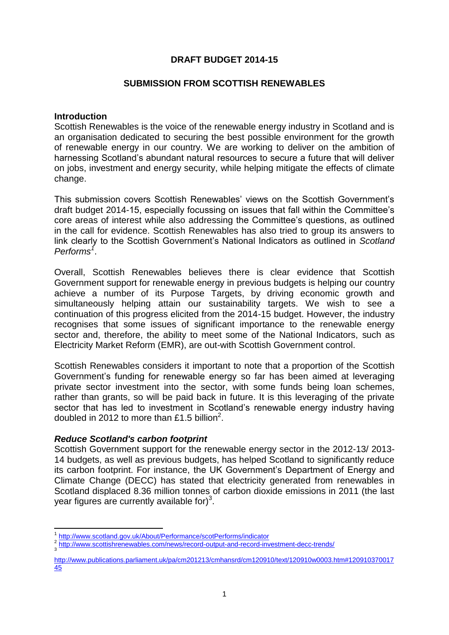# **DRAFT BUDGET 2014-15**

#### **SUBMISSION FROM SCOTTISH RENEWABLES**

#### **Introduction**

Scottish Renewables is the voice of the renewable energy industry in Scotland and is an organisation dedicated to securing the best possible environment for the growth of renewable energy in our country. We are working to deliver on the ambition of harnessing Scotland's abundant natural resources to secure a future that will deliver on jobs, investment and energy security, while helping mitigate the effects of climate change.

This submission covers Scottish Renewables' views on the Scottish Government's draft budget 2014-15, especially focussing on issues that fall within the Committee's core areas of interest while also addressing the Committee's questions, as outlined in the call for evidence. Scottish Renewables has also tried to group its answers to link clearly to the Scottish Government's National Indicators as outlined in *Scotland Performs<sup>1</sup>* .

Overall, Scottish Renewables believes there is clear evidence that Scottish Government support for renewable energy in previous budgets is helping our country achieve a number of its Purpose Targets, by driving economic growth and simultaneously helping attain our sustainability targets. We wish to see a continuation of this progress elicited from the 2014-15 budget. However, the industry recognises that some issues of significant importance to the renewable energy sector and, therefore, the ability to meet some of the National Indicators, such as Electricity Market Reform (EMR), are out-with Scottish Government control.

Scottish Renewables considers it important to note that a proportion of the Scottish Government's funding for renewable energy so far has been aimed at leveraging private sector investment into the sector, with some funds being loan schemes, rather than grants, so will be paid back in future. It is this leveraging of the private sector that has led to investment in Scotland's renewable energy industry having doubled in 2012 to more than £1.5 billion<sup>2</sup>.

### *Reduce Scotland's carbon footprint*

Scottish Government support for the renewable energy sector in the 2012-13/ 2013- 14 budgets, as well as previous budgets, has helped Scotland to significantly reduce its carbon footprint. For instance, the UK Government's Department of Energy and Climate Change (DECC) has stated that electricity generated from renewables in Scotland displaced 8.36 million tonnes of carbon dioxide emissions in 2011 (the last year figures are currently available for) $3$ .

**<sup>.</sup>** 1 <http://www.scotland.gov.uk/About/Performance/scotPerforms/indicator>

<sup>2</sup> <http://www.scottishrenewables.com/news/record-output-and-record-investment-decc-trends/> 3

[http://www.publications.parliament.uk/pa/cm201213/cmhansrd/cm120910/text/120910w0003.htm#120910370017](http://www.publications.parliament.uk/pa/cm201213/cmhansrd/cm120910/text/120910w0003.htm#12091037001745) [45](http://www.publications.parliament.uk/pa/cm201213/cmhansrd/cm120910/text/120910w0003.htm#12091037001745)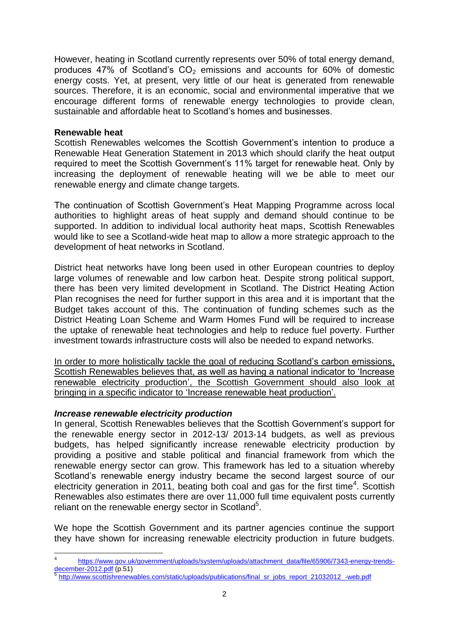However, heating in Scotland currently represents over 50% of total energy demand, produces 47% of Scotland's  $CO<sub>2</sub>$  emissions and accounts for 60% of domestic energy costs. Yet, at present, very little of our heat is generated from renewable sources. Therefore, it is an economic, social and environmental imperative that we encourage different forms of renewable energy technologies to provide clean, sustainable and affordable heat to Scotland's homes and businesses.

#### **Renewable heat**

Scottish Renewables welcomes the Scottish Government's intention to produce a Renewable Heat Generation Statement in 2013 which should clarify the heat output required to meet the Scottish Government's 11% target for renewable heat. Only by increasing the deployment of renewable heating will we be able to meet our renewable energy and climate change targets.

The continuation of Scottish Government's Heat Mapping Programme across local authorities to highlight areas of heat supply and demand should continue to be supported. In addition to individual local authority heat maps, Scottish Renewables would like to see a Scotland-wide heat map to allow a more strategic approach to the development of heat networks in Scotland.

District heat networks have long been used in other European countries to deploy large volumes of renewable and low carbon heat. Despite strong political support, there has been very limited development in Scotland. The District Heating Action Plan recognises the need for further support in this area and it is important that the Budget takes account of this. The continuation of funding schemes such as the District Heating Loan Scheme and Warm Homes Fund will be required to increase the uptake of renewable heat technologies and help to reduce fuel poverty. Further investment towards infrastructure costs will also be needed to expand networks.

In order to more holistically tackle the goal of reducing Scotland's carbon emissions, Scottish Renewables believes that, as well as having a national indicator to 'Increase renewable electricity production', the Scottish Government should also look at bringing in a specific indicator to 'Increase renewable heat production'.

### *Increase renewable electricity production*

 $\overline{\phantom{a}}$ 

In general, Scottish Renewables believes that the Scottish Government's support for the renewable energy sector in 2012-13/ 2013-14 budgets, as well as previous budgets, has helped significantly increase renewable electricity production by providing a positive and stable political and financial framework from which the renewable energy sector can grow. This framework has led to a situation whereby Scotland's renewable energy industry became the second largest source of our electricity generation in 2011, beating both coal and gas for the first time<sup>4</sup>. Scottish Renewables also estimates there are over 11,000 full time equivalent posts currently reliant on the renewable energy sector in Scotland<sup>5</sup>.

We hope the Scottish Government and its partner agencies continue the support they have shown for increasing renewable electricity production in future budgets.

<sup>4</sup> [https://www.gov.uk/government/uploads/system/uploads/attachment\\_data/file/65906/7343-energy-trends](https://www.gov.uk/government/uploads/system/uploads/attachment_data/file/65906/7343-energy-trends-december-2012.pdf)[december-2012.pdf](https://www.gov.uk/government/uploads/system/uploads/attachment_data/file/65906/7343-energy-trends-december-2012.pdf) (p.51)

[http://www.scottishrenewables.com/static/uploads/publications/final\\_sr\\_jobs\\_report\\_21032012\\_-web.pdf](http://www.scottishrenewables.com/static/uploads/publications/final_sr_jobs_report_21032012_-web.pdf)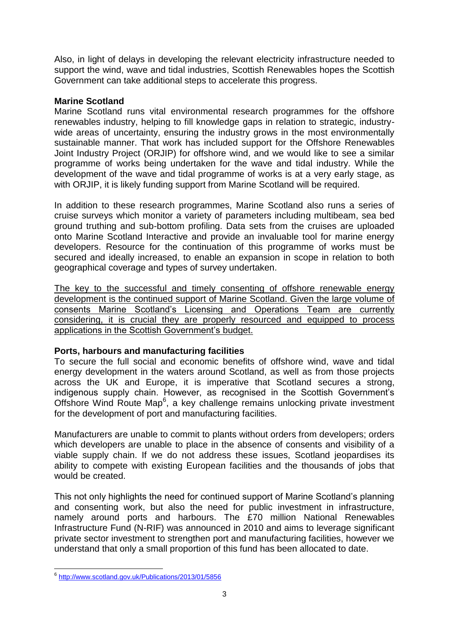Also, in light of delays in developing the relevant electricity infrastructure needed to support the wind, wave and tidal industries, Scottish Renewables hopes the Scottish Government can take additional steps to accelerate this progress.

## **Marine Scotland**

Marine Scotland runs vital environmental research programmes for the offshore renewables industry, helping to fill knowledge gaps in relation to strategic, industrywide areas of uncertainty, ensuring the industry grows in the most environmentally sustainable manner. That work has included support for the Offshore Renewables Joint Industry Project (ORJIP) for offshore wind, and we would like to see a similar programme of works being undertaken for the wave and tidal industry. While the development of the wave and tidal programme of works is at a very early stage, as with ORJIP, it is likely funding support from Marine Scotland will be required.

In addition to these research programmes, Marine Scotland also runs a series of cruise surveys which monitor a variety of parameters including multibeam, sea bed ground truthing and sub-bottom profiling. Data sets from the cruises are uploaded onto Marine Scotland Interactive and provide an invaluable tool for marine energy developers. Resource for the continuation of this programme of works must be secured and ideally increased, to enable an expansion in scope in relation to both geographical coverage and types of survey undertaken.

The key to the successful and timely consenting of offshore renewable energy development is the continued support of Marine Scotland. Given the large volume of consents Marine Scotland's Licensing and Operations Team are currently considering, it is crucial they are properly resourced and equipped to process applications in the Scottish Government's budget.

# **Ports, harbours and manufacturing facilities**

To secure the full social and economic benefits of offshore wind, wave and tidal energy development in the waters around Scotland, as well as from those projects across the UK and Europe, it is imperative that Scotland secures a strong, indigenous supply chain. However, as recognised in the Scottish Government's Offshore Wind Route Map<sup>6</sup>, a key challenge remains unlocking private investment for the development of port and manufacturing facilities.

Manufacturers are unable to commit to plants without orders from developers; orders which developers are unable to place in the absence of consents and visibility of a viable supply chain. If we do not address these issues, Scotland jeopardises its ability to compete with existing European facilities and the thousands of jobs that would be created.

This not only highlights the need for continued support of Marine Scotland's planning and consenting work, but also the need for public investment in infrastructure, namely around ports and harbours. The £70 million National Renewables Infrastructure Fund (N-RIF) was announced in 2010 and aims to leverage significant private sector investment to strengthen port and manufacturing facilities, however we understand that only a small proportion of this fund has been allocated to date.

<sup>–&</sup>lt;br><sup>6</sup> <http://www.scotland.gov.uk/Publications/2013/01/5856>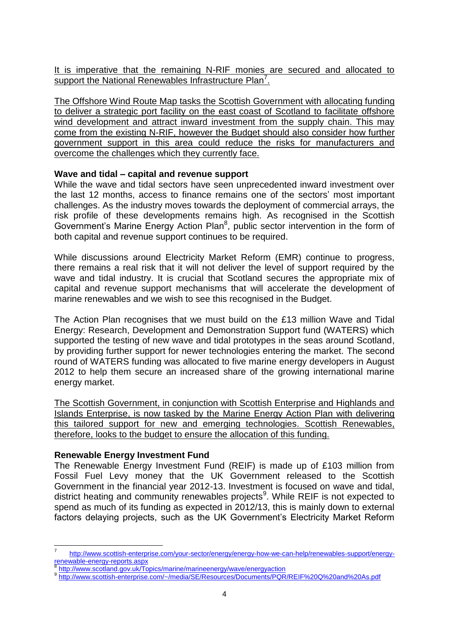It is imperative that the remaining N-RIF monies are secured and allocated to support the National Renewables Infrastructure Plan<sup>7</sup>.

The Offshore Wind Route Map tasks the Scottish Government with allocating funding to deliver a strategic port facility on the east coast of Scotland to facilitate offshore wind development and attract inward investment from the supply chain. This may come from the existing N-RIF, however the Budget should also consider how further government support in this area could reduce the risks for manufacturers and overcome the challenges which they currently face.

# **Wave and tidal – capital and revenue support**

While the wave and tidal sectors have seen unprecedented inward investment over the last 12 months, access to finance remains one of the sectors' most important challenges. As the industry moves towards the deployment of commercial arrays, the risk profile of these developments remains high. As recognised in the Scottish Government's Marine Energy Action Plan<sup>8</sup>, public sector intervention in the form of both capital and revenue support continues to be required.

While discussions around Electricity Market Reform (EMR) continue to progress, there remains a real risk that it will not deliver the level of support required by the wave and tidal industry. It is crucial that Scotland secures the appropriate mix of capital and revenue support mechanisms that will accelerate the development of marine renewables and we wish to see this recognised in the Budget.

The Action Plan recognises that we must build on the £13 million Wave and Tidal Energy: Research, Development and Demonstration Support fund (WATERS) which supported the testing of new wave and tidal prototypes in the seas around Scotland, by providing further support for newer technologies entering the market. The second round of WATERS funding was allocated to five marine energy developers in August 2012 to help them secure an increased share of the growing international marine energy market.

The Scottish Government, in conjunction with Scottish Enterprise and Highlands and Islands Enterprise, is now tasked by the Marine Energy Action Plan with delivering this tailored support for new and emerging technologies. Scottish Renewables, therefore, looks to the budget to ensure the allocation of this funding.

### **Renewable Energy Investment Fund**

**.** 

The Renewable Energy Investment Fund (REIF) is made up of £103 million from Fossil Fuel Levy money that the UK Government released to the Scottish Government in the financial year 2012-13. Investment is focused on wave and tidal, district heating and community renewables projects<sup>9</sup>. While REIF is not expected to spend as much of its funding as expected in 2012/13, this is mainly down to external factors delaying projects, such as the UK Government's Electricity Market Reform

<sup>7</sup> [http://www.scottish-enterprise.com/your-sector/energy/energy-how-we-can-help/renewables-support/energy](http://www.scottish-enterprise.com/your-sector/energy/energy-how-we-can-help/renewables-support/energy-renewable-energy-reports.aspx)[renewable-energy-reports.aspx](http://www.scottish-enterprise.com/your-sector/energy/energy-how-we-can-help/renewables-support/energy-renewable-energy-reports.aspx)

<http://www.scotland.gov.uk/Topics/marine/marineenergy/wave/energyaction>

<sup>9</sup> <http://www.scottish-enterprise.com/~/media/SE/Resources/Documents/PQR/REIF%20Q%20and%20As.pdf>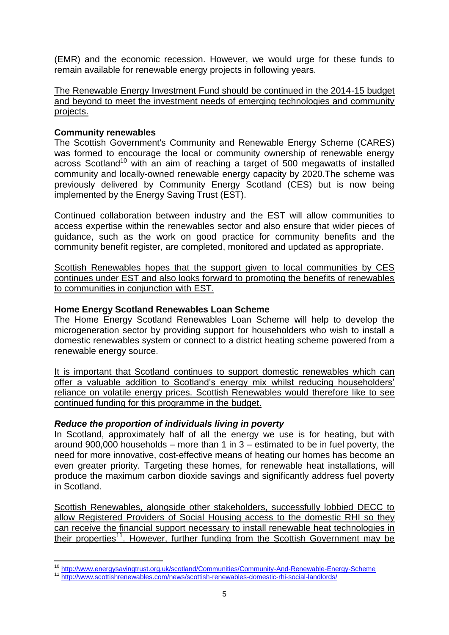(EMR) and the economic recession. However, we would urge for these funds to remain available for renewable energy projects in following years.

The Renewable Energy Investment Fund should be continued in the 2014-15 budget and beyond to meet the investment needs of emerging technologies and community projects.

## **Community renewables**

**.** 

The Scottish Government's Community and Renewable Energy Scheme (CARES) was formed to encourage the local or community ownership of renewable energy across Scotland<sup>10</sup> with an aim of reaching a target of 500 megawatts of installed community and locally-owned renewable energy capacity by 2020.The scheme was previously delivered by Community Energy Scotland (CES) but is now being implemented by the Energy Saving Trust (EST).

Continued collaboration between industry and the EST will allow communities to access expertise within the renewables sector and also ensure that wider pieces of guidance, such as the work on good practice for community benefits and the community benefit register, are completed, monitored and updated as appropriate.

Scottish Renewables hopes that the support given to local communities by CES continues under EST and also looks forward to promoting the benefits of renewables to communities in conjunction with EST.

# **Home Energy Scotland Renewables Loan Scheme**

The Home Energy Scotland Renewables Loan Scheme will help to develop the microgeneration sector by providing support for householders who wish to install a domestic renewables system or connect to a district heating scheme powered from a renewable energy source.

It is important that Scotland continues to support domestic renewables which can offer a valuable addition to Scotland's energy mix whilst reducing householders' reliance on volatile energy prices. Scottish Renewables would therefore like to see continued funding for this programme in the budget.

### *Reduce the proportion of individuals living in poverty*

In Scotland, approximately half of all the energy we use is for heating, but with around 900,000 households – more than 1 in  $3$  – estimated to be in fuel poverty, the need for more innovative, cost-effective means of heating our homes has become an even greater priority. Targeting these homes, for renewable heat installations, will produce the maximum carbon dioxide savings and significantly address fuel poverty in Scotland.

Scottish Renewables, alongside other stakeholders, successfully lobbied DECC to allow Registered Providers of Social Housing access to the domestic RHI so they can receive the financial support necessary to install renewable heat technologies in their properties<sup>11</sup>. However, further funding from the Scottish Government may be

<sup>&</sup>lt;sup>10</sup> <http://www.energysavingtrust.org.uk/scotland/Communities/Community-And-Renewable-Energy-Scheme>

<sup>11</sup> <http://www.scottishrenewables.com/news/scottish-renewables-domestic-rhi-social-landlords/>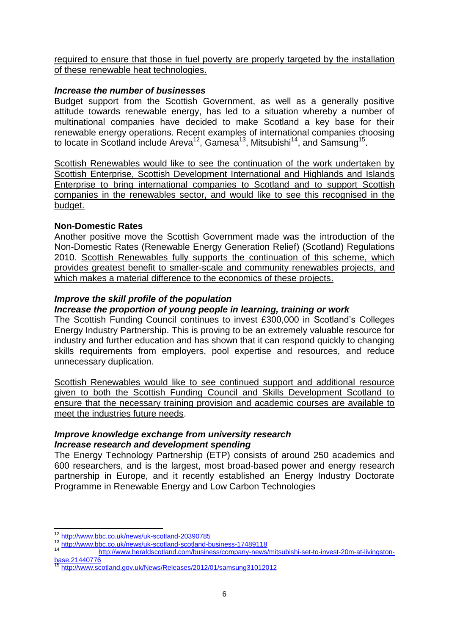required to ensure that those in fuel poverty are properly targeted by the installation of these renewable heat technologies.

## *Increase the number of businesses*

Budget support from the Scottish Government, as well as a generally positive attitude towards renewable energy, has led to a situation whereby a number of multinational companies have decided to make Scotland a key base for their renewable energy operations. Recent examples of international companies choosing to locate in Scotland include Areva<sup>12</sup>, Gamesa<sup>13</sup>, Mitsubishi<sup>14</sup>, and Samsung<sup>15</sup>.

Scottish Renewables would like to see the continuation of the work undertaken by Scottish Enterprise, Scottish Development International and Highlands and Islands Enterprise to bring international companies to Scotland and to support Scottish companies in the renewables sector, and would like to see this recognised in the budget.

# **Non-Domestic Rates**

Another positive move the Scottish Government made was the introduction of the Non-Domestic Rates (Renewable Energy Generation Relief) (Scotland) Regulations 2010. Scottish Renewables fully supports the continuation of this scheme, which provides greatest benefit to smaller-scale and community renewables projects, and which makes a material difference to the economics of these projects.

# *Improve the skill profile of the population*

# *Increase the proportion of young people in learning, training or work*

The Scottish Funding Council continues to invest £300,000 in Scotland's Colleges Energy Industry Partnership. This is proving to be an extremely valuable resource for industry and further education and has shown that it can respond quickly to changing skills requirements from employers, pool expertise and resources, and reduce unnecessary duplication.

Scottish Renewables would like to see continued support and additional resource given to both the Scottish Funding Council and Skills Development Scotland to ensure that the necessary training provision and academic courses are available to meet the industries future needs.

### *Improve knowledge exchange from university research Increase research and development spending*

The Energy Technology Partnership (ETP) consists of around 250 academics and 600 researchers, and is the largest, most broad-based power and energy research partnership in Europe, and it recently established an Energy Industry Doctorate Programme in Renewable Energy and Low Carbon Technologies

**<sup>.</sup>** <sup>12</sup> <http://www.bbc.co.uk/news/uk-scotland-20390785>

<sup>13</sup> <http://www.bbc.co.uk/news/uk-scotland-scotland-business-17489118>

[http://www.heraldscotland.com/business/company-news/mitsubishi-set-to-invest-20m-at-livingston](http://www.heraldscotland.com/business/company-news/mitsubishi-set-to-invest-20m-at-livingston-base.21440776)[base.21440776](http://www.heraldscotland.com/business/company-news/mitsubishi-set-to-invest-20m-at-livingston-base.21440776)

<sup>15</sup> <http://www.scotland.gov.uk/News/Releases/2012/01/samsung31012012>